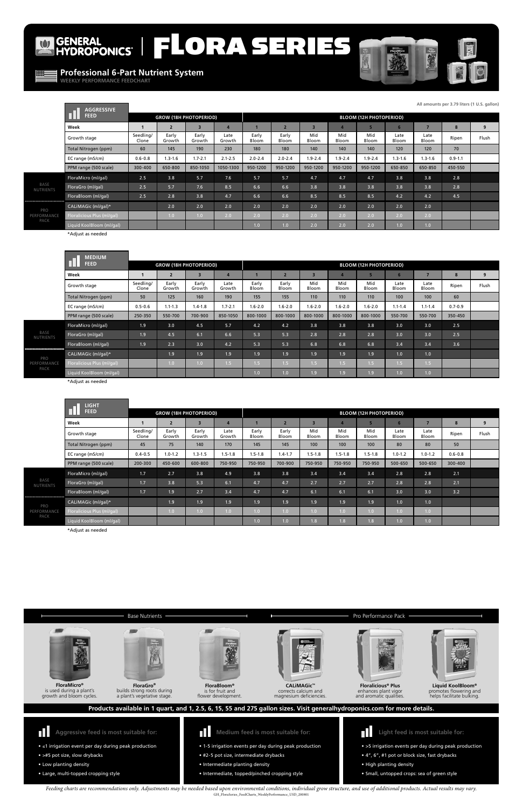## $\bullet$

# GENERAL<br>HYDROPONICS | FLORA SERIES



- ≤1 irrigation event per day during peak production
- >#5 pot size, slow drybacks
- Low planting density
- Large, multi-topped cropping style



**Aggressive feed is most suitable for:**

- **Medium feed is most suitable for:**
- 1-5 irrigation events per day during peak production
- #2-5 pot size, intermediate drybacks
- Intermediate planting density
- Intermediate, topped/pinched cropping style





**Liquid KoolBloom®** promotes flowering and helps facilitate bulking.

- >5 irrigation events per day during peak production
- 4", 6", #1 pot or block size, fast drybacks
- High planting density
- Small, untopped crops: sea of green style

**Light feed is most suitable for:**



a plant's vegetative stage.





**FloraBloom®** is for fruit and flower development.



corrects calcium and magnesium deficiencies.



enhances plant vigor and aromatic qualities.

**Products available in 1 quart, and 1, 2.5, 6, 15, 55 and 275 gallon sizes. Visit generalhydroponics.com for more details.**



NU

### **Professional 6-Part Nutrient System**

**WEEKLY PERFORMANCE FEEDCHART**



*Feeding charts are recommendations only. Adjustments may be needed based upon environmental conditions, individual grow structure, and use of additional products. Actual results may vary.*  GH\_FloraSeries\_FeedCharts\_WeeklyPerformance\_USD\_200801

|                                       | <b>AGGRESSIVE</b>          |                    |                               |                 |                |                |                |              |              |                                |               |               |             |       |  |  |  |  |
|---------------------------------------|----------------------------|--------------------|-------------------------------|-----------------|----------------|----------------|----------------|--------------|--------------|--------------------------------|---------------|---------------|-------------|-------|--|--|--|--|
|                                       | <b>FEED</b>                |                    | <b>GROW (18H PHOTOPERIOD)</b> |                 |                |                |                |              |              | <b>BLOOM (12H PHOTOPERIOD)</b> |               |               |             |       |  |  |  |  |
|                                       | Week                       |                    | $\overline{2}$                | 3               | 4              |                | $\overline{2}$ | 3            |              | s                              |               |               | 8           | 9     |  |  |  |  |
|                                       | Growth stage               | Seedling/<br>Clone | Early<br>Growth               | Early<br>Growth | Late<br>Growth | Early<br>Bloom | Early<br>Bloom | Mid<br>Bloom | Mid<br>Bloom | Mid<br>Bloom                   | Late<br>Bloom | Late<br>Bloom | Ripen       | Flush |  |  |  |  |
|                                       | Total Nitrogen (ppm)       | 60                 | 145                           | 190             | 230            | 180            | 180            | 140          | 140          | 140                            | 120           | 120           | 70          |       |  |  |  |  |
|                                       | EC range (mS/cm)           | $0.6 - 0.8$        | $1.3 - 1.6$                   | $1.7 - 2.1$     | $2.1 - 2.5$    | $2.0 - 2.4$    | $2.0 - 2.4$    | $1.9 - 2.4$  | $1.9 - 2.4$  | $1.9 - 2.4$                    | $1.3 - 1.6$   | $1.3 - 1.6$   | $0.9 - 1.1$ |       |  |  |  |  |
|                                       | PPM range (500 scale)      | 300-400            | 650-800                       | 850-1050        | 1050-1300      | 950-1200       | 950-1200       | 950-1200     | 950-1200     | 950-1200                       | 650-850       | 650-850       | 450-550     |       |  |  |  |  |
|                                       | FloraMicro (ml/gal)        | 2.5                | 3.8                           | 5.7             | 7.6            | 5.7            | 5.7            | 4.7          | 4.7          | 4.7                            | 3.8           | 3.8           | 2.8         |       |  |  |  |  |
| BASE<br><b>NUTRIENTS</b>              | FloraGro (ml/gal)          | 2.5                | 5.7                           | 7.6             | 8.5            | 6.6            | 6.6            | 3.8          | 3.8          | 3.8                            | 3.8           | 3.8           | 2.8         |       |  |  |  |  |
|                                       | FloraBloom (ml/gal)        | 2.5                | 2.8                           | 3.8             | 4.7            | 6.6            | 6.6            | 8.5          | 8.5          | 8.5                            | 4.2           | 4.2           | 4.5         |       |  |  |  |  |
| <br>PRO<br><b>PERFORMANCE</b><br>PACK | CALIMAGic (ml/gal)*        |                    | 2.0                           | 2.0             | 2.0            | 2.0            | 2.0            | 2.0          | 2.0          | 2.0                            | 2.0           | 2.0           |             |       |  |  |  |  |
|                                       | Floralicious Plus (ml/gal) |                    | 1.0                           | 1.0             | 2.0            | 2.0            | 2.0            | 2.0          | 2.0          | 2.0                            | 2.0           | 2.0           |             |       |  |  |  |  |
|                                       | Liquid KoolBloom (ml/gal)  |                    |                               |                 |                | 1.0            | 1.0            | 2.0          | 2.0          | 2.0                            | 1.0           | 1.0           |             |       |  |  |  |  |

|                                | <b>MEDIUM</b>              |                    |                               |                         |                  |                |                  |                  |                  |                                |                  |               |             |       |  |  |
|--------------------------------|----------------------------|--------------------|-------------------------------|-------------------------|------------------|----------------|------------------|------------------|------------------|--------------------------------|------------------|---------------|-------------|-------|--|--|
|                                | <b>FEED</b>                |                    | <b>GROW (18H PHOTOPERIOD)</b> |                         |                  |                |                  |                  |                  | <b>BLOOM (12H PHOTOPERIOD)</b> |                  |               |             |       |  |  |
|                                | Week                       |                    | $\overline{2}$                | $\overline{\mathbf{3}}$ |                  |                |                  | в                |                  | 5                              |                  | ۰,            | 8           | 9     |  |  |
|                                | Growth stage               | Seedling/<br>Clone | Early<br>Growth               | Early<br>Growth         | Late<br>Growth   | Early<br>Bloom | Early<br>Bloom   | Mid<br>Bloom     | Mid<br>Bloom     | Mid<br>Bloom                   | Late<br>Bloom    | Late<br>Bloom | Ripen       | Flush |  |  |
|                                | Total Nitrogen (ppm)       | 50                 | 125                           | 160                     | 190              | 155            | 155              | 110              | 110              | 110                            | 100              | 100           | 60          |       |  |  |
|                                | EC range (mS/cm)           | $0.5 - 0.6$        | $1.1 - 1.3$                   | $1.4 - 1.8$             | $1.7 - 2.1$      | $1.6 - 2.0$    | $1.6 - 2.0$      | $1.6 - 2.0$      | $1.6 - 2.0$      | $1.6 - 2.0$                    | $1.1 - 1.4$      | $1.1 - 1.4$   | $0.7 - 0.9$ |       |  |  |
|                                | PPM range (500 scale)      | 250-350            | 550-700                       | 700-900                 | 850-1050         | 800-1000       | 800-1000         | 800-1000         | 800-1000         | 800-1000                       | 550-700          | 550-700       | 350-450     |       |  |  |
|                                | FloraMicro (ml/gal)        | 1.9                | 3.0                           | 4.5                     | 5.7              | 4.2            | 4.2              | 3.8              | 3.8              | 3.8                            | 3.0              | 3.0           | 2.5         |       |  |  |
| BASE<br>NUTRIENTS              | FloraGro (ml/gal)          | 1.9                | 4.5                           | 6.1                     | 6.6              | 5.3            | 5.3              | 2.8              | 2.8              | 2.8                            | 3.0              | 3.0           | 2.5         |       |  |  |
|                                | FloraBloom (ml/gal)        | 1.9                | 2.3                           | 3.0                     | 4.2              | 5.3            | 5.3              | 6.8              | 6.8              | 6.8                            | 3.4              | 3.4           | 3.6         |       |  |  |
| <br>PRO<br>PERFORMANCE<br>PACK | CALIMAGic (ml/gal)*        |                    | 1.9                           | 1.9                     | 1.9              | 1.9            | 1.9              | 1.9              | 1.9              | 1.9                            | 1.0              | 1.0           |             |       |  |  |
|                                | Floralicious Plus (ml/gal) |                    | 1.0 <sub>1</sub>              | 1.0                     | 1.5 <sup>2</sup> | 1.5            | 1.5 <sub>1</sub> | 1.5 <sub>1</sub> | 1.5 <sub>1</sub> | 1.5                            | 1.5 <sub>1</sub> | 1.5           |             |       |  |  |
|                                | Liquid KoolBloom (ml/gal)  |                    |                               |                         |                  | 1.0            | 1.0              | 1.9              | 1.9 <sup>°</sup> | 1.9                            | 1.0 <sub>1</sub> | 1.0           |             |       |  |  |

|                        | <b>LIGHT</b>               |                    |                 |                               |                |                |                |                |              |                                |               |                  |             |       |  |  |  |
|------------------------|----------------------------|--------------------|-----------------|-------------------------------|----------------|----------------|----------------|----------------|--------------|--------------------------------|---------------|------------------|-------------|-------|--|--|--|
|                        | <b>FEED</b>                |                    |                 | <b>GROW (18H PHOTOPERIOD)</b> |                |                |                |                |              | <b>BLOOM (12H PHOTOPERIOD)</b> |               |                  |             |       |  |  |  |
|                        | Week                       |                    | $\overline{2}$  | $\overline{3}$                | $\overline{4}$ |                | $\overline{2}$ | $\overline{3}$ |              |                                | 6             |                  | 8           | 9     |  |  |  |
|                        | Growth stage               | Seedling/<br>Clone | Early<br>Growth | Early<br>Growth               | Late<br>Growth | Early<br>Bloom | Early<br>Bloom | Mid<br>Bloom   | Mid<br>Bloom | Mid<br>Bloom                   | Late<br>Bloom | Late<br>Bloom    | Ripen       | Flush |  |  |  |
|                        | Total Nitrogen (ppm)       | 45                 | 75              | 140                           | 170            | 145            | 145            | 100            | 100          | 100                            | 80            | 80               | 50          |       |  |  |  |
|                        | EC range (mS/cm)           | $0.4 - 0.5$        | $1.0 - 1.2$     | $1.3 - 1.5$                   | $1.5 - 1.8$    | $1.5 - 1.8$    | $1.4 - 1.7$    | $1.5 - 1.8$    | $1.5 - 1.8$  | $1.5 - 1.8$                    | $1.0 - 1.2$   | $1.0 - 1.2$      | $0.6 - 0.8$ |       |  |  |  |
|                        | PPM range (500 scale)      | 200-300            | 450-600         | 600-800                       | 750-950        | 750-950        | 700-900        | 750-950        | 750-950      | 750-950                        | 500-650       | 500-650          | 300-400     |       |  |  |  |
|                        | FloraMicro (ml/gal)        | 1.7                | 2.7             | 3.8                           | 4.9            | 3.8            | 3.8            | 3.4            | 3.4          | 3.4                            | 2.8           | 2.8              | 2.1         |       |  |  |  |
| BASE<br>TRIENTS        | FloraGro (ml/gal)          | 1.7                | 3.8             | 5.3                           | 6.1            | 4.7            | 4.7            | 2.7            | 2.7          | 2.7                            | 2.8           | 2.8              | 2.1         |       |  |  |  |
|                        | FloraBloom (ml/gal)        | 1.7                | 1.9             | 2.7                           | 3.4            | 4.7            | 4.7            | 6.1            | 6.1          | 6.1                            | 3.0           | 3.0              | 3.2         |       |  |  |  |
| PRO<br>ORMANCE<br>PACK | CALIMAGic (ml/gal)*        |                    | 1.9             | 1.9                           | 1.9            | 1.9            | 1.9            | 1.9            | 1.9          | 1.9                            | 1.0           | 1.0              |             |       |  |  |  |
|                        | Floralicious Plus (ml/gal) |                    | 1.0             | 1.0                           | 1.0            | 1.0            | 1.0            | 1.0            | 1.0          | 1.0                            | 1.0           | 1.0 <sub>1</sub> |             |       |  |  |  |
|                        | Liquid KoolBloom (ml/gal)  |                    |                 |                               |                | 1.0            | 1.0            | 1.8            | 1.8          | 1.8                            | 1.0           | 1.0              |             |       |  |  |  |

**All amounts per 3.79 liters (1 U.S. gallon)**

\*Adjust as needed

\*Adjust as needed

\*Adjust as needed

**GREEK** 

#### Base Nutrients **Pro Performance Pack**